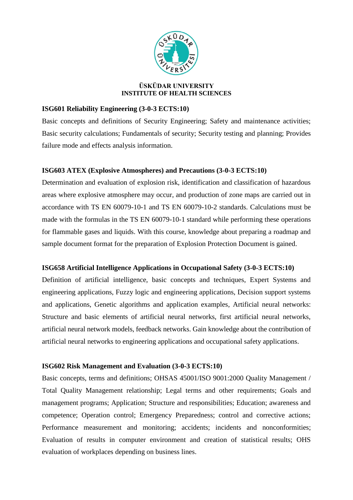

# **ÜSKÜDAR UNIVERSITY INSTITUTE OF HEALTH SCIENCES**

# **ISG601 Reliability Engineering (3-0-3 ECTS:10)**

Basic concepts and definitions of Security Engineering; Safety and maintenance activities; Basic security calculations; Fundamentals of security; Security testing and planning; Provides failure mode and effects analysis information.

# **ISG603 ATEX (Explosive Atmospheres) and Precautions (3-0-3 ECTS:10)**

Determination and evaluation of explosion risk, identification and classification of hazardous areas where explosive atmosphere may occur, and production of zone maps are carried out in accordance with TS EN 60079-10-1 and TS EN 60079-10-2 standards. Calculations must be made with the formulas in the TS EN 60079-10-1 standard while performing these operations for flammable gases and liquids. With this course, knowledge about preparing a roadmap and sample document format for the preparation of Explosion Protection Document is gained.

# **ISG658 Artificial Intelligence Applications in Occupational Safety (3-0-3 ECTS:10)**

Definition of artificial intelligence, basic concepts and techniques, Expert Systems and engineering applications, Fuzzy logic and engineering applications, Decision support systems and applications, Genetic algorithms and application examples, Artificial neural networks: Structure and basic elements of artificial neural networks, first artificial neural networks, artificial neural network models, feedback networks. Gain knowledge about the contribution of artificial neural networks to engineering applications and occupational safety applications.

# **ISG602 Risk Management and Evaluation (3-0-3 ECTS:10)**

Basic concepts, terms and definitions; OHSAS 45001/ISO 9001:2000 Quality Management / Total Quality Management relationship; Legal terms and other requirements; Goals and management programs; Application; Structure and responsibilities; Education; awareness and competence; Operation control; Emergency Preparedness; control and corrective actions; Performance measurement and monitoring; accidents; incidents and nonconformities; Evaluation of results in computer environment and creation of statistical results; OHS evaluation of workplaces depending on business lines.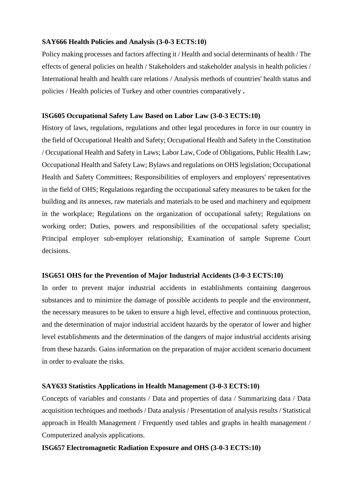## **SAY666 Health Policies and Analysis (3-0-3 ECTS:10)**

Policy making processes and factors affecting it / Health and social determinants of health / The effects of general policies on health / Stakeholders and stakeholder analysis in health policies / International health and health care relations / Analysis methods of countries' health status and policies / Health policies of Turkey and other countries comparatively **.**

### **ISG605 Occupational Safety Law Based on Labor Law (3-0-3 ECTS:10)**

History of laws, regulations, regulations and other legal procedures in force in our country in the field of Occupational Health and Safety; Occupational Health and Safety in the Constitution / Occupational Health and Safety in Laws; Labor Law, Code of Obligations, Public Health Law; Occupational Health and Safety Law; Bylaws and regulations on OHS legislation; Occupational Health and Safety Committees; Responsibilities of employers and employers' representatives in the field of OHS; Regulations regarding the occupational safety measures to be taken for the building and its annexes, raw materials and materials to be used and machinery and equipment in the workplace; Regulations on the organization of occupational safety; Regulations on working order; Duties, powers and responsibilities of the occupational safety specialist; Principal employer sub-employer relationship; Examination of sample Supreme Court decisions.

## **ISG651 OHS for the Prevention of Major Industrial Accidents (3-0-3 ECTS:10)**

In order to prevent major industrial accidents in establishments containing dangerous substances and to minimize the damage of possible accidents to people and the environment, the necessary measures to be taken to ensure a high level, effective and continuous protection, and the determination of major industrial accident hazards by the operator of lower and higher level establishments and the determination of the dangers of major industrial accidents arising from these hazards. Gains information on the preparation of major accident scenario document in order to evaluate the risks.

### **SAY633 Statistics Applications in Health Management (3-0-3 ECTS:10)**

Concepts of variables and constants / Data and properties of data / Summarizing data / Data acquisition techniques and methods / Data analysis / Presentation of analysis results / Statistical approach in Health Management / Frequently used tables and graphs in health management / Computerized analysis applications.

## **ISG657 Electromagnetic Radiation Exposure and OHS (3-0-3 ECTS:10)**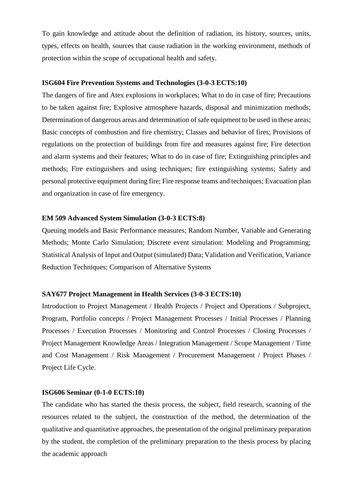To gain knowledge and attitude about the definition of radiation, its history, sources, units, types, effects on health, sources that cause radiation in the working environment, methods of protection within the scope of occupational health and safety.

### **ISG604 Fire Prevention Systems and Technologies (3-0-3 ECTS:10)**

The dangers of fire and Atex explosions in workplaces; What to do in case of fire; Precautions to be taken against fire; Explosive atmosphere hazards, disposal and minimization methods; Determination of dangerous areas and determination of safe equipment to be used in these areas; Basic concepts of combustion and fire chemistry; Classes and behavior of fires; Provisions of regulations on the protection of buildings from fire and measures against fire; Fire detection and alarm systems and their features; What to do in case of fire; Extinguishing principles and methods; Fire extinguishers and using techniques; fire extinguishing systems; Safety and personal protective equipment during fire; Fire response teams and techniques; Evacuation plan and organization in case of fire emergency.

## **EM 509 Advanced System Simulation (3-0-3 ECTS:8)**

Queuing models and Basic Performance measures; Random Number, Variable and Generating Methods; Monte Carlo Simulation; Discrete event simulation: Modeling and Programming; Statistical Analysis of Input and Output (simulated) Data; Validation and Verification, Variance Reduction Techniques; Comparison of Alternative Systems

## **SAY677 Project Management in Health Services (3-0-3 ECTS:10)**

Introduction to Project Management / Health Projects / Project and Operations / Subproject, Program, Portfolio concepts / Project Management Processes / Initial Processes / Planning Processes / Execution Processes / Monitoring and Control Processes / Closing Processes / Project Management Knowledge Areas / Integration Management / Scope Management / Time and Cost Management / Risk Management / Procurement Management / Project Phases / Project Life Cycle.

#### **ISG606 Seminar (0-1-0 ECTS:10)**

The candidate who has started the thesis process, the subject, field research, scanning of the resources related to the subject, the construction of the method, the determination of the qualitative and quantitative approaches, the presentation of the original preliminary preparation by the student, the completion of the preliminary preparation to the thesis process by placing the academic approach